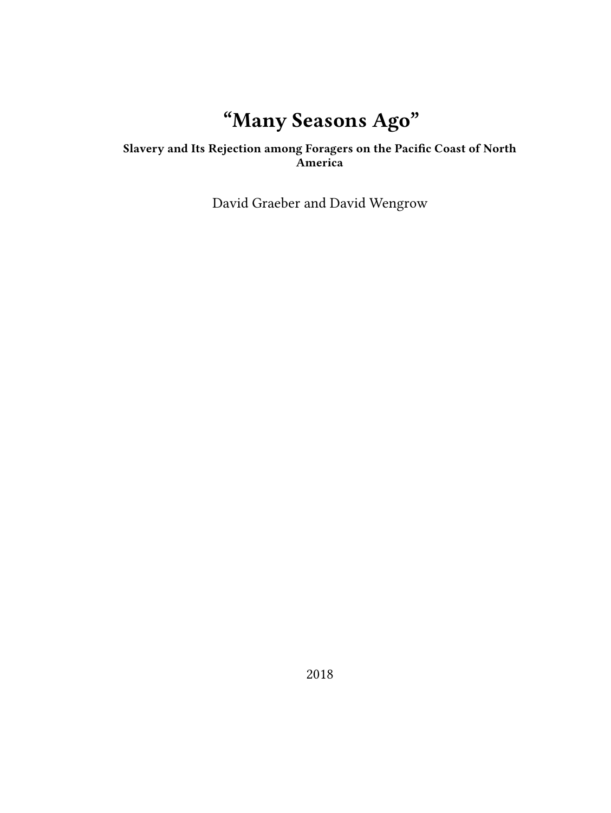# **"Many Seasons Ago"**

## **Slavery and Its Rejection among Foragers on the Pacific Coast of North America**

David Graeber and David Wengrow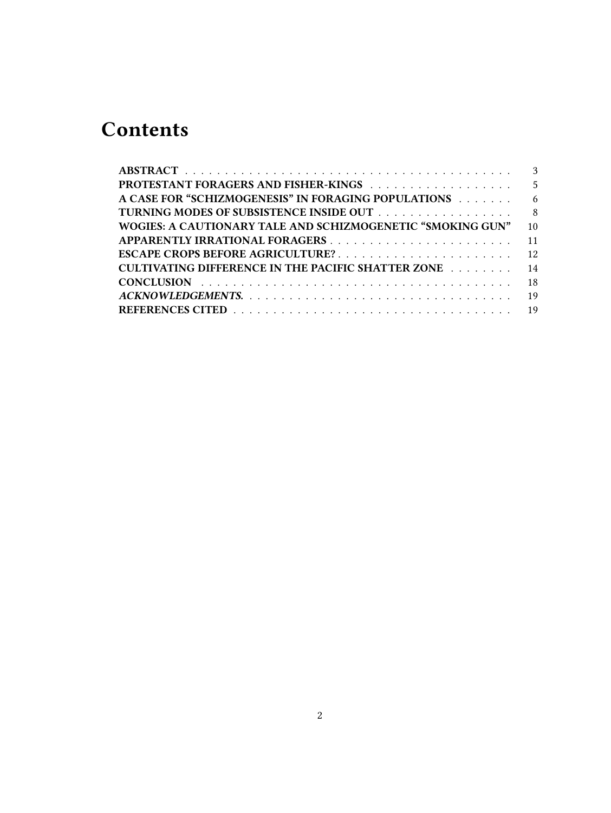## **Contents**

| A CASE FOR "SCHIZMOGENESIS" IN FORAGING POPULATIONS        | 6   |
|------------------------------------------------------------|-----|
| TURNING MODES OF SUBSISTENCE INSIDE OUT                    | - 8 |
| WOGIES: A CAUTIONARY TALE AND SCHIZMOGENETIC "SMOKING GUN" | 10  |
|                                                            | 11  |
|                                                            | 12  |
| CULTIVATING DIFFERENCE IN THE PACIFIC SHATTER ZONE         | 14  |
|                                                            | 18  |
|                                                            | 19  |
|                                                            |     |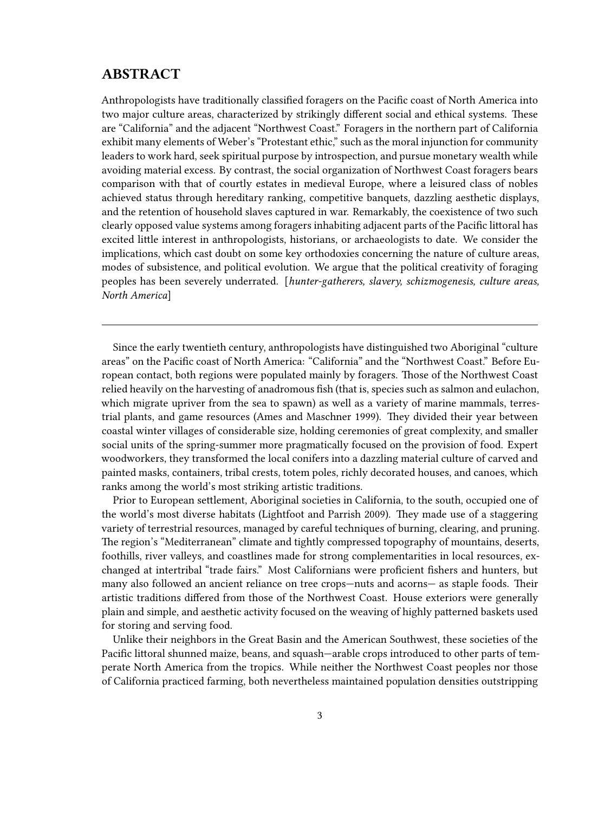## <span id="page-2-0"></span>**ABSTRACT**

Anthropologists have traditionally classified foragers on the Pacific coast of North America into two major culture areas, characterized by strikingly different social and ethical systems. These are "California" and the adjacent "Northwest Coast." Foragers in the northern part of California exhibit many elements of Weber's "Protestant ethic," such as the moral injunction for community leaders to work hard, seek spiritual purpose by introspection, and pursue monetary wealth while avoiding material excess. By contrast, the social organization of Northwest Coast foragers bears comparison with that of courtly estates in medieval Europe, where a leisured class of nobles achieved status through hereditary ranking, competitive banquets, dazzling aesthetic displays, and the retention of household slaves captured in war. Remarkably, the coexistence of two such clearly opposed value systems among foragers inhabiting adjacent parts of the Pacific littoral has excited little interest in anthropologists, historians, or archaeologists to date. We consider the implications, which cast doubt on some key orthodoxies concerning the nature of culture areas, modes of subsistence, and political evolution. We argue that the political creativity of foraging peoples has been severely underrated. [*hunter-gatherers, slavery, schizmogenesis, culture areas, North America*]

Since the early twentieth century, anthropologists have distinguished two Aboriginal "culture areas" on the Pacific coast of North America: "California" and the "Northwest Coast." Before European contact, both regions were populated mainly by foragers. Those of the Northwest Coast relied heavily on the harvesting of anadromous fish (that is, species such as salmon and eulachon, which migrate upriver from the sea to spawn) as well as a variety of marine mammals, terrestrial plants, and game resources (Ames and Maschner 1999). They divided their year between coastal winter villages of considerable size, holding ceremonies of great complexity, and smaller social units of the spring-summer more pragmatically focused on the provision of food. Expert woodworkers, they transformed the local conifers into a dazzling material culture of carved and painted masks, containers, tribal crests, totem poles, richly decorated houses, and canoes, which ranks among the world's most striking artistic traditions.

Prior to European settlement, Aboriginal societies in California, to the south, occupied one of the world's most diverse habitats (Lightfoot and Parrish 2009). They made use of a staggering variety of terrestrial resources, managed by careful techniques of burning, clearing, and pruning. The region's "Mediterranean" climate and tightly compressed topography of mountains, deserts, foothills, river valleys, and coastlines made for strong complementarities in local resources, exchanged at intertribal "trade fairs." Most Californians were proficient fishers and hunters, but many also followed an ancient reliance on tree crops—nuts and acorns— as staple foods. Their artistic traditions differed from those of the Northwest Coast. House exteriors were generally plain and simple, and aesthetic activity focused on the weaving of highly patterned baskets used for storing and serving food.

Unlike their neighbors in the Great Basin and the American Southwest, these societies of the Pacific littoral shunned maize, beans, and squash—arable crops introduced to other parts of temperate North America from the tropics. While neither the Northwest Coast peoples nor those of California practiced farming, both nevertheless maintained population densities outstripping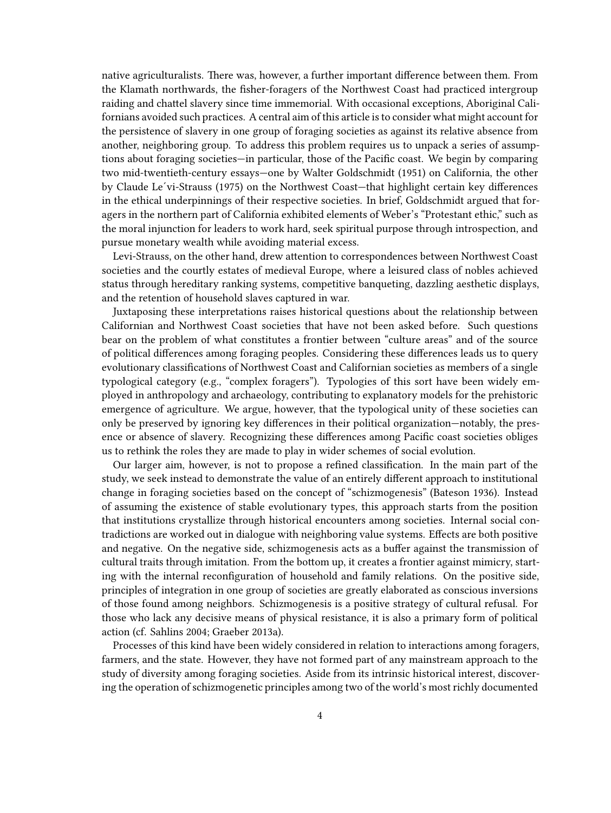native agriculturalists. There was, however, a further important difference between them. From the Klamath northwards, the fisher-foragers of the Northwest Coast had practiced intergroup raiding and chattel slavery since time immemorial. With occasional exceptions, Aboriginal Californians avoided such practices. A central aim of this article is to consider what might account for the persistence of slavery in one group of foraging societies as against its relative absence from another, neighboring group. To address this problem requires us to unpack a series of assumptions about foraging societies—in particular, those of the Pacific coast. We begin by comparing two mid-twentieth-century essays—one by Walter Goldschmidt (1951) on California, the other by Claude Le´vi-Strauss (1975) on the Northwest Coast—that highlight certain key differences in the ethical underpinnings of their respective societies. In brief, Goldschmidt argued that foragers in the northern part of California exhibited elements of Weber's "Protestant ethic," such as the moral injunction for leaders to work hard, seek spiritual purpose through introspection, and pursue monetary wealth while avoiding material excess.

Levi-Strauss, on the other hand, drew attention to correspondences between Northwest Coast societies and the courtly estates of medieval Europe, where a leisured class of nobles achieved status through hereditary ranking systems, competitive banqueting, dazzling aesthetic displays, and the retention of household slaves captured in war.

Juxtaposing these interpretations raises historical questions about the relationship between Californian and Northwest Coast societies that have not been asked before. Such questions bear on the problem of what constitutes a frontier between "culture areas" and of the source of political differences among foraging peoples. Considering these differences leads us to query evolutionary classifications of Northwest Coast and Californian societies as members of a single typological category (e.g., "complex foragers"). Typologies of this sort have been widely employed in anthropology and archaeology, contributing to explanatory models for the prehistoric emergence of agriculture. We argue, however, that the typological unity of these societies can only be preserved by ignoring key differences in their political organization—notably, the presence or absence of slavery. Recognizing these differences among Pacific coast societies obliges us to rethink the roles they are made to play in wider schemes of social evolution.

Our larger aim, however, is not to propose a refined classification. In the main part of the study, we seek instead to demonstrate the value of an entirely different approach to institutional change in foraging societies based on the concept of "schizmogenesis" (Bateson 1936). Instead of assuming the existence of stable evolutionary types, this approach starts from the position that institutions crystallize through historical encounters among societies. Internal social contradictions are worked out in dialogue with neighboring value systems. Effects are both positive and negative. On the negative side, schizmogenesis acts as a buffer against the transmission of cultural traits through imitation. From the bottom up, it creates a frontier against mimicry, starting with the internal reconfiguration of household and family relations. On the positive side, principles of integration in one group of societies are greatly elaborated as conscious inversions of those found among neighbors. Schizmogenesis is a positive strategy of cultural refusal. For those who lack any decisive means of physical resistance, it is also a primary form of political action (cf. Sahlins 2004; Graeber 2013a).

Processes of this kind have been widely considered in relation to interactions among foragers, farmers, and the state. However, they have not formed part of any mainstream approach to the study of diversity among foraging societies. Aside from its intrinsic historical interest, discovering the operation of schizmogenetic principles among two of the world's most richly documented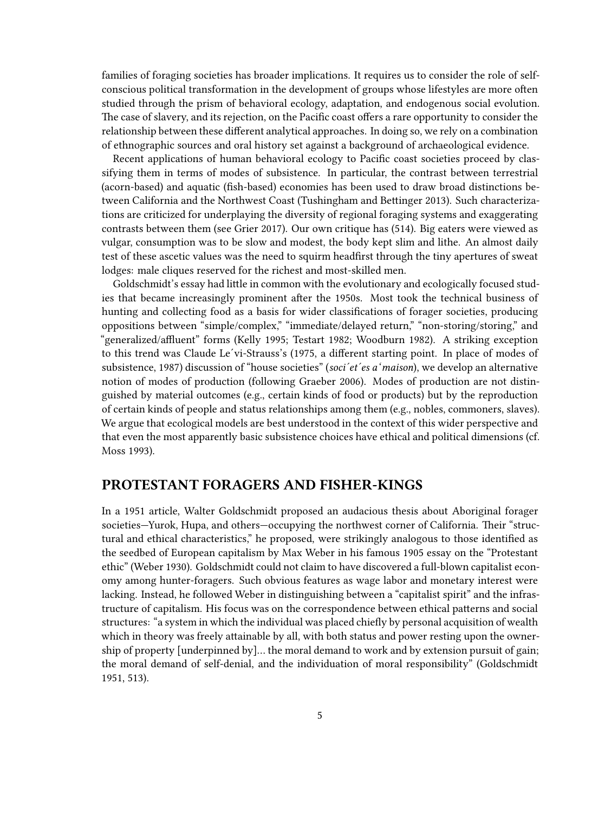families of foraging societies has broader implications. It requires us to consider the role of selfconscious political transformation in the development of groups whose lifestyles are more often studied through the prism of behavioral ecology, adaptation, and endogenous social evolution. The case of slavery, and its rejection, on the Pacific coast offers a rare opportunity to consider the relationship between these different analytical approaches. In doing so, we rely on a combination of ethnographic sources and oral history set against a background of archaeological evidence.

Recent applications of human behavioral ecology to Pacific coast societies proceed by classifying them in terms of modes of subsistence. In particular, the contrast between terrestrial (acorn-based) and aquatic (fish-based) economies has been used to draw broad distinctions between California and the Northwest Coast (Tushingham and Bettinger 2013). Such characterizations are criticized for underplaying the diversity of regional foraging systems and exaggerating contrasts between them (see Grier 2017). Our own critique has (514). Big eaters were viewed as vulgar, consumption was to be slow and modest, the body kept slim and lithe. An almost daily test of these ascetic values was the need to squirm headfirst through the tiny apertures of sweat lodges: male cliques reserved for the richest and most-skilled men.

Goldschmidt's essay had little in common with the evolutionary and ecologically focused studies that became increasingly prominent after the 1950s. Most took the technical business of hunting and collecting food as a basis for wider classifications of forager societies, producing oppositions between "simple/complex," "immediate/delayed return," "non-storing/storing," and "generalized/affluent" forms (Kelly 1995; Testart 1982; Woodburn 1982). A striking exception to this trend was Claude Le´vi-Strauss's (1975, a different starting point. In place of modes of subsistence, 1987) discussion of "house societies" (*soci´et´es a'maison*), we develop an alternative notion of modes of production (following Graeber 2006). Modes of production are not distinguished by material outcomes (e.g., certain kinds of food or products) but by the reproduction of certain kinds of people and status relationships among them (e.g., nobles, commoners, slaves). We argue that ecological models are best understood in the context of this wider perspective and that even the most apparently basic subsistence choices have ethical and political dimensions (cf. Moss 1993).

## <span id="page-4-0"></span>**PROTESTANT FORAGERS AND FISHER-KINGS**

In a 1951 article, Walter Goldschmidt proposed an audacious thesis about Aboriginal forager societies—Yurok, Hupa, and others—occupying the northwest corner of California. Their "structural and ethical characteristics," he proposed, were strikingly analogous to those identified as the seedbed of European capitalism by Max Weber in his famous 1905 essay on the "Protestant ethic" (Weber 1930). Goldschmidt could not claim to have discovered a full-blown capitalist economy among hunter-foragers. Such obvious features as wage labor and monetary interest were lacking. Instead, he followed Weber in distinguishing between a "capitalist spirit" and the infrastructure of capitalism. His focus was on the correspondence between ethical patterns and social structures: "a system in which the individual was placed chiefly by personal acquisition of wealth which in theory was freely attainable by all, with both status and power resting upon the ownership of property [underpinned by]… the moral demand to work and by extension pursuit of gain; the moral demand of self-denial, and the individuation of moral responsibility" (Goldschmidt 1951, 513).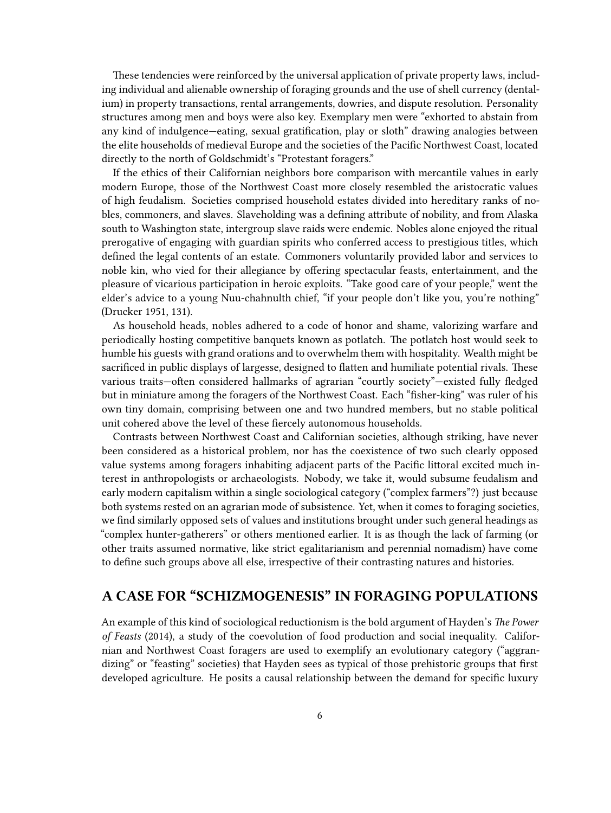These tendencies were reinforced by the universal application of private property laws, including individual and alienable ownership of foraging grounds and the use of shell currency (dentalium) in property transactions, rental arrangements, dowries, and dispute resolution. Personality structures among men and boys were also key. Exemplary men were "exhorted to abstain from any kind of indulgence—eating, sexual gratification, play or sloth" drawing analogies between the elite households of medieval Europe and the societies of the Pacific Northwest Coast, located directly to the north of Goldschmidt's "Protestant foragers."

If the ethics of their Californian neighbors bore comparison with mercantile values in early modern Europe, those of the Northwest Coast more closely resembled the aristocratic values of high feudalism. Societies comprised household estates divided into hereditary ranks of nobles, commoners, and slaves. Slaveholding was a defining attribute of nobility, and from Alaska south to Washington state, intergroup slave raids were endemic. Nobles alone enjoyed the ritual prerogative of engaging with guardian spirits who conferred access to prestigious titles, which defined the legal contents of an estate. Commoners voluntarily provided labor and services to noble kin, who vied for their allegiance by offering spectacular feasts, entertainment, and the pleasure of vicarious participation in heroic exploits. "Take good care of your people," went the elder's advice to a young Nuu-chahnulth chief, "if your people don't like you, you're nothing" (Drucker 1951, 131).

As household heads, nobles adhered to a code of honor and shame, valorizing warfare and periodically hosting competitive banquets known as potlatch. The potlatch host would seek to humble his guests with grand orations and to overwhelm them with hospitality. Wealth might be sacrificed in public displays of largesse, designed to flatten and humiliate potential rivals. These various traits—often considered hallmarks of agrarian "courtly society"—existed fully fledged but in miniature among the foragers of the Northwest Coast. Each "fisher-king" was ruler of his own tiny domain, comprising between one and two hundred members, but no stable political unit cohered above the level of these fiercely autonomous households.

Contrasts between Northwest Coast and Californian societies, although striking, have never been considered as a historical problem, nor has the coexistence of two such clearly opposed value systems among foragers inhabiting adjacent parts of the Pacific littoral excited much interest in anthropologists or archaeologists. Nobody, we take it, would subsume feudalism and early modern capitalism within a single sociological category ("complex farmers"?) just because both systems rested on an agrarian mode of subsistence. Yet, when it comes to foraging societies, we find similarly opposed sets of values and institutions brought under such general headings as "complex hunter-gatherers" or others mentioned earlier. It is as though the lack of farming (or other traits assumed normative, like strict egalitarianism and perennial nomadism) have come to define such groups above all else, irrespective of their contrasting natures and histories.

## <span id="page-5-0"></span>**A CASE FOR "SCHIZMOGENESIS" IN FORAGING POPULATIONS**

An example of this kind of sociological reductionism is the bold argument of Hayden's *The Power of Feasts* (2014), a study of the coevolution of food production and social inequality. Californian and Northwest Coast foragers are used to exemplify an evolutionary category ("aggrandizing" or "feasting" societies) that Hayden sees as typical of those prehistoric groups that first developed agriculture. He posits a causal relationship between the demand for specific luxury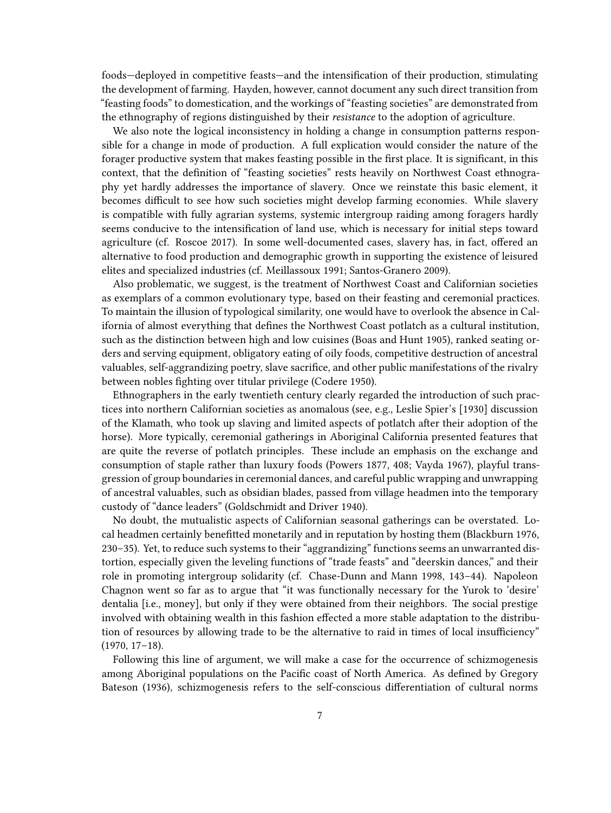foods—deployed in competitive feasts—and the intensification of their production, stimulating the development of farming. Hayden, however, cannot document any such direct transition from "feasting foods" to domestication, and the workings of "feasting societies" are demonstrated from the ethnography of regions distinguished by their *resistance* to the adoption of agriculture.

We also note the logical inconsistency in holding a change in consumption patterns responsible for a change in mode of production. A full explication would consider the nature of the forager productive system that makes feasting possible in the first place. It is significant, in this context, that the definition of "feasting societies" rests heavily on Northwest Coast ethnography yet hardly addresses the importance of slavery. Once we reinstate this basic element, it becomes difficult to see how such societies might develop farming economies. While slavery is compatible with fully agrarian systems, systemic intergroup raiding among foragers hardly seems conducive to the intensification of land use, which is necessary for initial steps toward agriculture (cf. Roscoe 2017). In some well-documented cases, slavery has, in fact, offered an alternative to food production and demographic growth in supporting the existence of leisured elites and specialized industries (cf. Meillassoux 1991; Santos-Granero 2009).

Also problematic, we suggest, is the treatment of Northwest Coast and Californian societies as exemplars of a common evolutionary type, based on their feasting and ceremonial practices. To maintain the illusion of typological similarity, one would have to overlook the absence in California of almost everything that defines the Northwest Coast potlatch as a cultural institution, such as the distinction between high and low cuisines (Boas and Hunt 1905), ranked seating orders and serving equipment, obligatory eating of oily foods, competitive destruction of ancestral valuables, self-aggrandizing poetry, slave sacrifice, and other public manifestations of the rivalry between nobles fighting over titular privilege (Codere 1950).

Ethnographers in the early twentieth century clearly regarded the introduction of such practices into northern Californian societies as anomalous (see, e.g., Leslie Spier's [1930] discussion of the Klamath, who took up slaving and limited aspects of potlatch after their adoption of the horse). More typically, ceremonial gatherings in Aboriginal California presented features that are quite the reverse of potlatch principles. These include an emphasis on the exchange and consumption of staple rather than luxury foods (Powers 1877, 408; Vayda 1967), playful transgression of group boundaries in ceremonial dances, and careful public wrapping and unwrapping of ancestral valuables, such as obsidian blades, passed from village headmen into the temporary custody of "dance leaders" (Goldschmidt and Driver 1940).

No doubt, the mutualistic aspects of Californian seasonal gatherings can be overstated. Local headmen certainly benefitted monetarily and in reputation by hosting them (Blackburn 1976, 230–35). Yet, to reduce such systems to their "aggrandizing" functions seems an unwarranted distortion, especially given the leveling functions of "trade feasts" and "deerskin dances," and their role in promoting intergroup solidarity (cf. Chase-Dunn and Mann 1998, 143–44). Napoleon Chagnon went so far as to argue that "it was functionally necessary for the Yurok to 'desire' dentalia [i.e., money], but only if they were obtained from their neighbors. The social prestige involved with obtaining wealth in this fashion effected a more stable adaptation to the distribution of resources by allowing trade to be the alternative to raid in times of local insufficiency" (1970, 17–18).

Following this line of argument, we will make a case for the occurrence of schizmogenesis among Aboriginal populations on the Pacific coast of North America. As defined by Gregory Bateson (1936), schizmogenesis refers to the self-conscious differentiation of cultural norms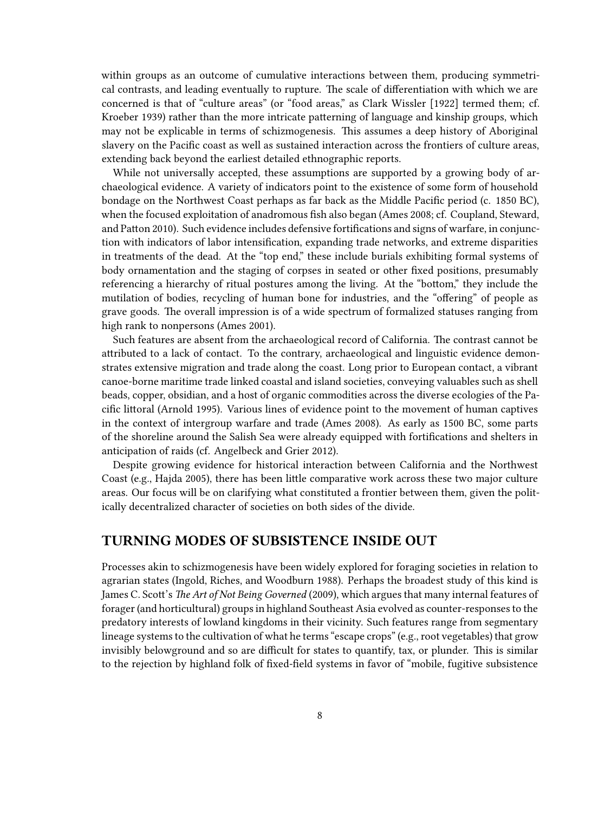within groups as an outcome of cumulative interactions between them, producing symmetrical contrasts, and leading eventually to rupture. The scale of differentiation with which we are concerned is that of "culture areas" (or "food areas," as Clark Wissler [1922] termed them; cf. Kroeber 1939) rather than the more intricate patterning of language and kinship groups, which may not be explicable in terms of schizmogenesis. This assumes a deep history of Aboriginal slavery on the Pacific coast as well as sustained interaction across the frontiers of culture areas, extending back beyond the earliest detailed ethnographic reports.

While not universally accepted, these assumptions are supported by a growing body of archaeological evidence. A variety of indicators point to the existence of some form of household bondage on the Northwest Coast perhaps as far back as the Middle Pacific period (c. 1850 BC), when the focused exploitation of anadromous fish also began (Ames 2008; cf. Coupland, Steward, and Patton 2010). Such evidence includes defensive fortifications and signs of warfare, in conjunction with indicators of labor intensification, expanding trade networks, and extreme disparities in treatments of the dead. At the "top end," these include burials exhibiting formal systems of body ornamentation and the staging of corpses in seated or other fixed positions, presumably referencing a hierarchy of ritual postures among the living. At the "bottom," they include the mutilation of bodies, recycling of human bone for industries, and the "offering" of people as grave goods. The overall impression is of a wide spectrum of formalized statuses ranging from high rank to nonpersons (Ames 2001).

Such features are absent from the archaeological record of California. The contrast cannot be attributed to a lack of contact. To the contrary, archaeological and linguistic evidence demonstrates extensive migration and trade along the coast. Long prior to European contact, a vibrant canoe-borne maritime trade linked coastal and island societies, conveying valuables such as shell beads, copper, obsidian, and a host of organic commodities across the diverse ecologies of the Pacific littoral (Arnold 1995). Various lines of evidence point to the movement of human captives in the context of intergroup warfare and trade (Ames 2008). As early as 1500 BC, some parts of the shoreline around the Salish Sea were already equipped with fortifications and shelters in anticipation of raids (cf. Angelbeck and Grier 2012).

Despite growing evidence for historical interaction between California and the Northwest Coast (e.g., Hajda 2005), there has been little comparative work across these two major culture areas. Our focus will be on clarifying what constituted a frontier between them, given the politically decentralized character of societies on both sides of the divide.

## <span id="page-7-0"></span>**TURNING MODES OF SUBSISTENCE INSIDE OUT**

Processes akin to schizmogenesis have been widely explored for foraging societies in relation to agrarian states (Ingold, Riches, and Woodburn 1988). Perhaps the broadest study of this kind is James C. Scott's *The Art of Not Being Governed* (2009), which argues that many internal features of forager (and horticultural) groups in highland Southeast Asia evolved as counter-responses to the predatory interests of lowland kingdoms in their vicinity. Such features range from segmentary lineage systems to the cultivation of what he terms "escape crops" (e.g., root vegetables) that grow invisibly belowground and so are difficult for states to quantify, tax, or plunder. This is similar to the rejection by highland folk of fixed-field systems in favor of "mobile, fugitive subsistence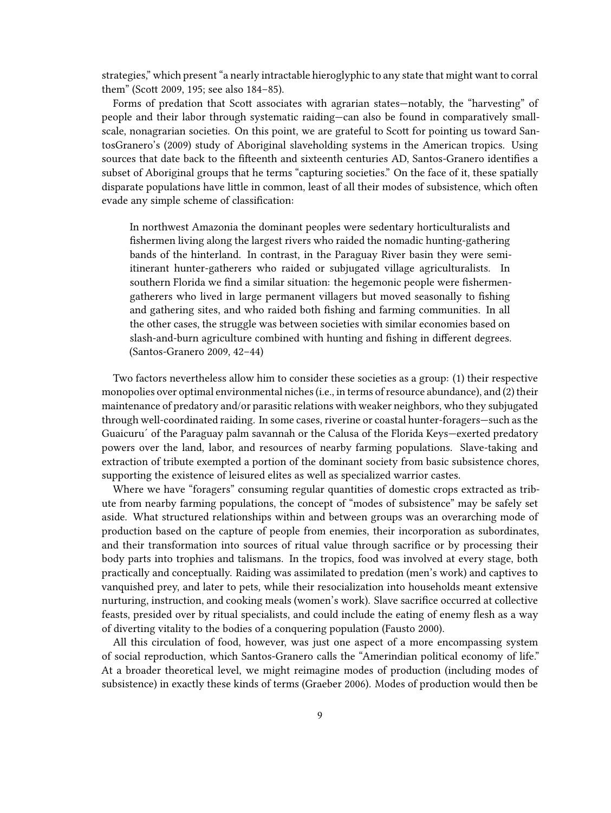strategies," which present "a nearly intractable hieroglyphic to any state that might want to corral them" (Scott 2009, 195; see also 184–85).

Forms of predation that Scott associates with agrarian states—notably, the "harvesting" of people and their labor through systematic raiding—can also be found in comparatively smallscale, nonagrarian societies. On this point, we are grateful to Scott for pointing us toward SantosGranero's (2009) study of Aboriginal slaveholding systems in the American tropics. Using sources that date back to the fifteenth and sixteenth centuries AD, Santos-Granero identifies a subset of Aboriginal groups that he terms "capturing societies." On the face of it, these spatially disparate populations have little in common, least of all their modes of subsistence, which often evade any simple scheme of classification:

In northwest Amazonia the dominant peoples were sedentary horticulturalists and fishermen living along the largest rivers who raided the nomadic hunting-gathering bands of the hinterland. In contrast, in the Paraguay River basin they were semiitinerant hunter-gatherers who raided or subjugated village agriculturalists. In southern Florida we find a similar situation: the hegemonic people were fishermengatherers who lived in large permanent villagers but moved seasonally to fishing and gathering sites, and who raided both fishing and farming communities. In all the other cases, the struggle was between societies with similar economies based on slash-and-burn agriculture combined with hunting and fishing in different degrees. (Santos-Granero 2009, 42–44)

Two factors nevertheless allow him to consider these societies as a group: (1) their respective monopolies over optimal environmental niches (i.e., in terms of resource abundance), and (2) their maintenance of predatory and/or parasitic relations with weaker neighbors, who they subjugated through well-coordinated raiding. In some cases, riverine or coastal hunter-foragers—such as the Guaicuru´ of the Paraguay palm savannah or the Calusa of the Florida Keys—exerted predatory powers over the land, labor, and resources of nearby farming populations. Slave-taking and extraction of tribute exempted a portion of the dominant society from basic subsistence chores, supporting the existence of leisured elites as well as specialized warrior castes.

Where we have "foragers" consuming regular quantities of domestic crops extracted as tribute from nearby farming populations, the concept of "modes of subsistence" may be safely set aside. What structured relationships within and between groups was an overarching mode of production based on the capture of people from enemies, their incorporation as subordinates, and their transformation into sources of ritual value through sacrifice or by processing their body parts into trophies and talismans. In the tropics, food was involved at every stage, both practically and conceptually. Raiding was assimilated to predation (men's work) and captives to vanquished prey, and later to pets, while their resocialization into households meant extensive nurturing, instruction, and cooking meals (women's work). Slave sacrifice occurred at collective feasts, presided over by ritual specialists, and could include the eating of enemy flesh as a way of diverting vitality to the bodies of a conquering population (Fausto 2000).

All this circulation of food, however, was just one aspect of a more encompassing system of social reproduction, which Santos-Granero calls the "Amerindian political economy of life." At a broader theoretical level, we might reimagine modes of production (including modes of subsistence) in exactly these kinds of terms (Graeber 2006). Modes of production would then be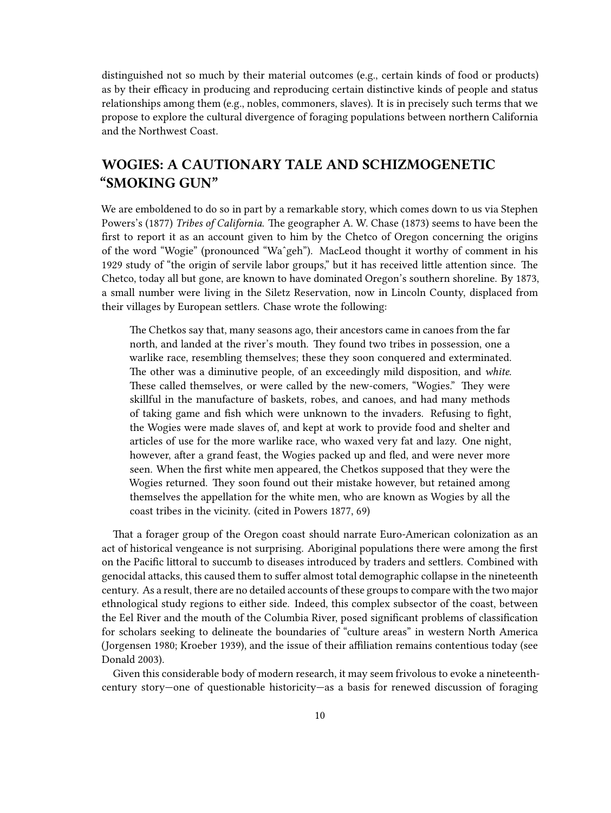distinguished not so much by their material outcomes (e.g., certain kinds of food or products) as by their efficacy in producing and reproducing certain distinctive kinds of people and status relationships among them (e.g., nobles, commoners, slaves). It is in precisely such terms that we propose to explore the cultural divergence of foraging populations between northern California and the Northwest Coast.

## <span id="page-9-0"></span>**WOGIES: A CAUTIONARY TALE AND SCHIZMOGENETIC "SMOKING GUN"**

We are emboldened to do so in part by a remarkable story, which comes down to us via Stephen Powers's (1877) *Tribes of California*. The geographer A. W. Chase (1873) seems to have been the first to report it as an account given to him by the Chetco of Oregon concerning the origins of the word "Wogie" (pronounced "Waˆgeh"). MacLeod thought it worthy of comment in his 1929 study of "the origin of servile labor groups," but it has received little attention since. The Chetco, today all but gone, are known to have dominated Oregon's southern shoreline. By 1873, a small number were living in the Siletz Reservation, now in Lincoln County, displaced from their villages by European settlers. Chase wrote the following:

The Chetkos say that, many seasons ago, their ancestors came in canoes from the far north, and landed at the river's mouth. They found two tribes in possession, one a warlike race, resembling themselves; these they soon conquered and exterminated. The other was a diminutive people, of an exceedingly mild disposition, and *white*. These called themselves, or were called by the new-comers, "Wogies." They were skillful in the manufacture of baskets, robes, and canoes, and had many methods of taking game and fish which were unknown to the invaders. Refusing to fight, the Wogies were made slaves of, and kept at work to provide food and shelter and articles of use for the more warlike race, who waxed very fat and lazy. One night, however, after a grand feast, the Wogies packed up and fled, and were never more seen. When the first white men appeared, the Chetkos supposed that they were the Wogies returned. They soon found out their mistake however, but retained among themselves the appellation for the white men, who are known as Wogies by all the coast tribes in the vicinity. (cited in Powers 1877, 69)

That a forager group of the Oregon coast should narrate Euro-American colonization as an act of historical vengeance is not surprising. Aboriginal populations there were among the first on the Pacific littoral to succumb to diseases introduced by traders and settlers. Combined with genocidal attacks, this caused them to suffer almost total demographic collapse in the nineteenth century. As a result, there are no detailed accounts of these groups to compare with the two major ethnological study regions to either side. Indeed, this complex subsector of the coast, between the Eel River and the mouth of the Columbia River, posed significant problems of classification for scholars seeking to delineate the boundaries of "culture areas" in western North America (Jorgensen 1980; Kroeber 1939), and the issue of their affiliation remains contentious today (see Donald 2003).

Given this considerable body of modern research, it may seem frivolous to evoke a nineteenthcentury story—one of questionable historicity—as a basis for renewed discussion of foraging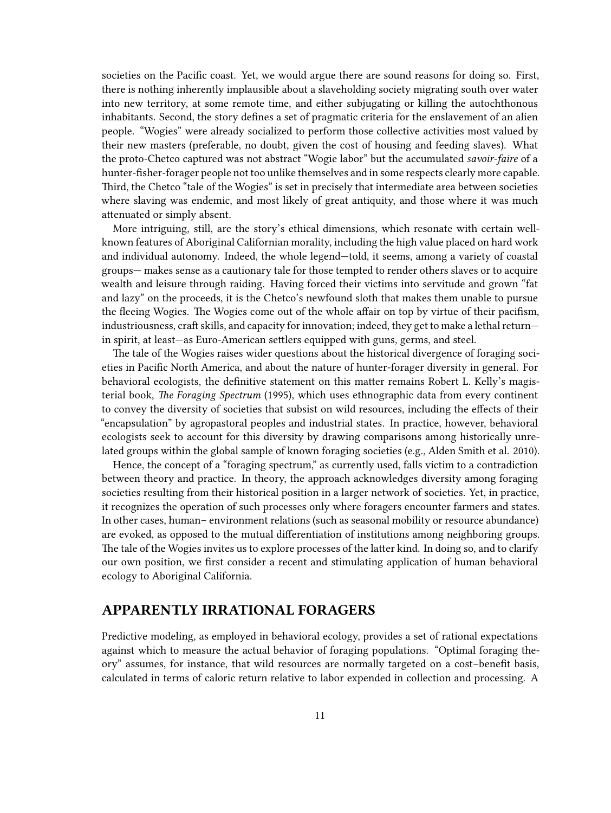societies on the Pacific coast. Yet, we would argue there are sound reasons for doing so. First, there is nothing inherently implausible about a slaveholding society migrating south over water into new territory, at some remote time, and either subjugating or killing the autochthonous inhabitants. Second, the story defines a set of pragmatic criteria for the enslavement of an alien people. "Wogies" were already socialized to perform those collective activities most valued by their new masters (preferable, no doubt, given the cost of housing and feeding slaves). What the proto-Chetco captured was not abstract "Wogie labor" but the accumulated *savoir-faire* of a hunter-fisher-forager people not too unlike themselves and in some respects clearly more capable. Third, the Chetco "tale of the Wogies" is set in precisely that intermediate area between societies where slaving was endemic, and most likely of great antiquity, and those where it was much attenuated or simply absent.

More intriguing, still, are the story's ethical dimensions, which resonate with certain wellknown features of Aboriginal Californian morality, including the high value placed on hard work and individual autonomy. Indeed, the whole legend—told, it seems, among a variety of coastal groups— makes sense as a cautionary tale for those tempted to render others slaves or to acquire wealth and leisure through raiding. Having forced their victims into servitude and grown "fat and lazy" on the proceeds, it is the Chetco's newfound sloth that makes them unable to pursue the fleeing Wogies. The Wogies come out of the whole affair on top by virtue of their pacifism, industriousness, craft skills, and capacity for innovation; indeed, they get to make a lethal return in spirit, at least—as Euro-American settlers equipped with guns, germs, and steel.

The tale of the Wogies raises wider questions about the historical divergence of foraging societies in Pacific North America, and about the nature of hunter-forager diversity in general. For behavioral ecologists, the definitive statement on this matter remains Robert L. Kelly's magisterial book, *The Foraging Spectrum* (1995), which uses ethnographic data from every continent to convey the diversity of societies that subsist on wild resources, including the effects of their "encapsulation" by agropastoral peoples and industrial states. In practice, however, behavioral ecologists seek to account for this diversity by drawing comparisons among historically unrelated groups within the global sample of known foraging societies (e.g., Alden Smith et al. 2010).

Hence, the concept of a "foraging spectrum," as currently used, falls victim to a contradiction between theory and practice. In theory, the approach acknowledges diversity among foraging societies resulting from their historical position in a larger network of societies. Yet, in practice, it recognizes the operation of such processes only where foragers encounter farmers and states. In other cases, human– environment relations (such as seasonal mobility or resource abundance) are evoked, as opposed to the mutual differentiation of institutions among neighboring groups. The tale of the Wogies invites us to explore processes of the latter kind. In doing so, and to clarify our own position, we first consider a recent and stimulating application of human behavioral ecology to Aboriginal California.

## <span id="page-10-0"></span>**APPARENTLY IRRATIONAL FORAGERS**

Predictive modeling, as employed in behavioral ecology, provides a set of rational expectations against which to measure the actual behavior of foraging populations. "Optimal foraging theory" assumes, for instance, that wild resources are normally targeted on a cost–benefit basis, calculated in terms of caloric return relative to labor expended in collection and processing. A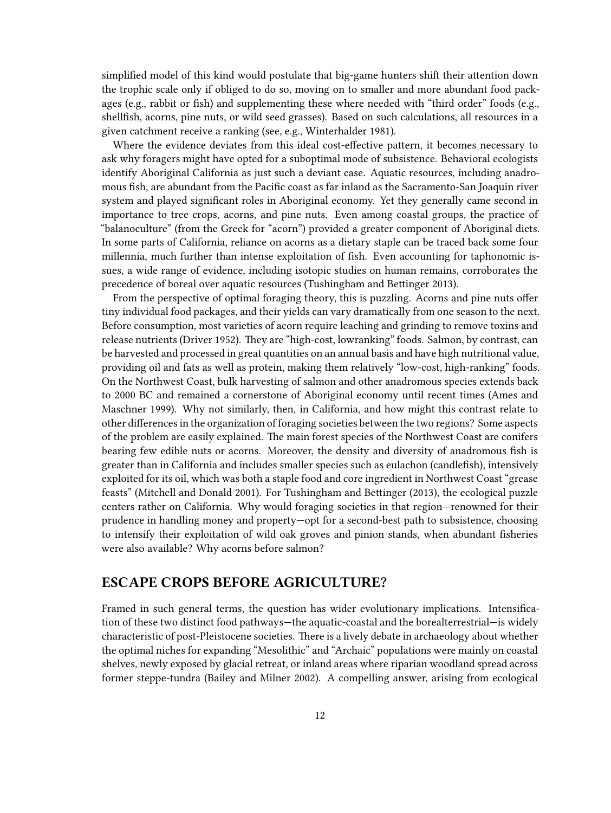simplified model of this kind would postulate that big-game hunters shift their attention down the trophic scale only if obliged to do so, moving on to smaller and more abundant food packages (e.g., rabbit or fish) and supplementing these where needed with "third order" foods (e.g., shellfish, acorns, pine nuts, or wild seed grasses). Based on such calculations, all resources in a given catchment receive a ranking (see, e.g., Winterhalder 1981).

Where the evidence deviates from this ideal cost-effective pattern, it becomes necessary to ask why foragers might have opted for a suboptimal mode of subsistence. Behavioral ecologists identify Aboriginal California as just such a deviant case. Aquatic resources, including anadromous fish, are abundant from the Pacific coast as far inland as the Sacramento-San Joaquin river system and played significant roles in Aboriginal economy. Yet they generally came second in importance to tree crops, acorns, and pine nuts. Even among coastal groups, the practice of "balanoculture" (from the Greek for "acorn") provided a greater component of Aboriginal diets. In some parts of California, reliance on acorns as a dietary staple can be traced back some four millennia, much further than intense exploitation of fish. Even accounting for taphonomic issues, a wide range of evidence, including isotopic studies on human remains, corroborates the precedence of boreal over aquatic resources (Tushingham and Bettinger 2013).

From the perspective of optimal foraging theory, this is puzzling. Acorns and pine nuts offer tiny individual food packages, and their yields can vary dramatically from one season to the next. Before consumption, most varieties of acorn require leaching and grinding to remove toxins and release nutrients (Driver 1952). They are "high-cost, lowranking" foods. Salmon, by contrast, can be harvested and processed in great quantities on an annual basis and have high nutritional value, providing oil and fats as well as protein, making them relatively "low-cost, high-ranking" foods. On the Northwest Coast, bulk harvesting of salmon and other anadromous species extends back to 2000 BC and remained a cornerstone of Aboriginal economy until recent times (Ames and Maschner 1999). Why not similarly, then, in California, and how might this contrast relate to other differences in the organization of foraging societies between the two regions? Some aspects of the problem are easily explained. The main forest species of the Northwest Coast are conifers bearing few edible nuts or acorns. Moreover, the density and diversity of anadromous fish is greater than in California and includes smaller species such as eulachon (candlefish), intensively exploited for its oil, which was both a staple food and core ingredient in Northwest Coast "grease feasts" (Mitchell and Donald 2001). For Tushingham and Bettinger (2013), the ecological puzzle centers rather on California. Why would foraging societies in that region—renowned for their prudence in handling money and property—opt for a second-best path to subsistence, choosing to intensify their exploitation of wild oak groves and pinion stands, when abundant fisheries were also available? Why acorns before salmon?

## <span id="page-11-0"></span>**ESCAPE CROPS BEFORE AGRICULTURE?**

Framed in such general terms, the question has wider evolutionary implications. Intensification of these two distinct food pathways—the aquatic-coastal and the borealterrestrial—is widely characteristic of post-Pleistocene societies. There is a lively debate in archaeology about whether the optimal niches for expanding "Mesolithic" and "Archaic" populations were mainly on coastal shelves, newly exposed by glacial retreat, or inland areas where riparian woodland spread across former steppe-tundra (Bailey and Milner 2002). A compelling answer, arising from ecological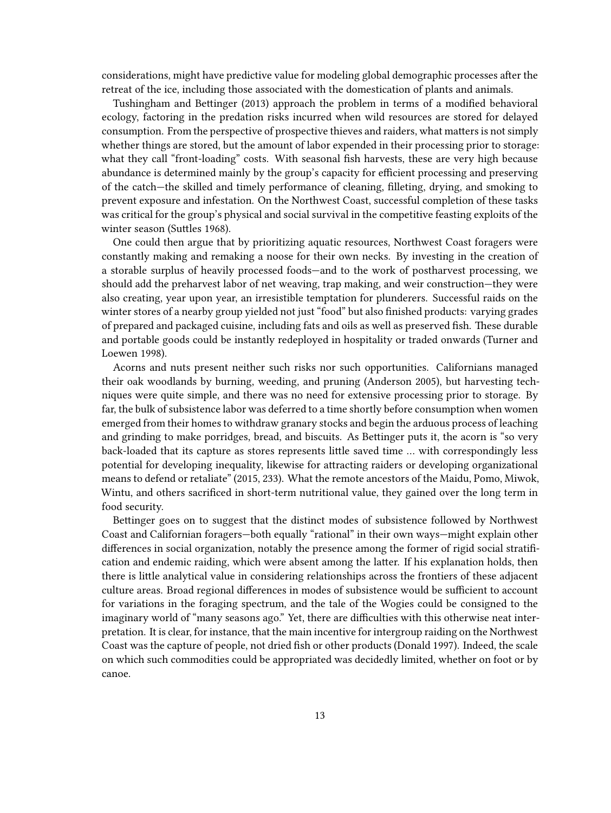considerations, might have predictive value for modeling global demographic processes after the retreat of the ice, including those associated with the domestication of plants and animals.

Tushingham and Bettinger (2013) approach the problem in terms of a modified behavioral ecology, factoring in the predation risks incurred when wild resources are stored for delayed consumption. From the perspective of prospective thieves and raiders, what matters is not simply whether things are stored, but the amount of labor expended in their processing prior to storage: what they call "front-loading" costs. With seasonal fish harvests, these are very high because abundance is determined mainly by the group's capacity for efficient processing and preserving of the catch—the skilled and timely performance of cleaning, filleting, drying, and smoking to prevent exposure and infestation. On the Northwest Coast, successful completion of these tasks was critical for the group's physical and social survival in the competitive feasting exploits of the winter season (Suttles 1968).

One could then argue that by prioritizing aquatic resources, Northwest Coast foragers were constantly making and remaking a noose for their own necks. By investing in the creation of a storable surplus of heavily processed foods—and to the work of postharvest processing, we should add the preharvest labor of net weaving, trap making, and weir construction—they were also creating, year upon year, an irresistible temptation for plunderers. Successful raids on the winter stores of a nearby group yielded not just "food" but also finished products: varying grades of prepared and packaged cuisine, including fats and oils as well as preserved fish. These durable and portable goods could be instantly redeployed in hospitality or traded onwards (Turner and Loewen 1998).

Acorns and nuts present neither such risks nor such opportunities. Californians managed their oak woodlands by burning, weeding, and pruning (Anderson 2005), but harvesting techniques were quite simple, and there was no need for extensive processing prior to storage. By far, the bulk of subsistence labor was deferred to a time shortly before consumption when women emerged from their homes to withdraw granary stocks and begin the arduous process of leaching and grinding to make porridges, bread, and biscuits. As Bettinger puts it, the acorn is "so very back-loaded that its capture as stores represents little saved time … with correspondingly less potential for developing inequality, likewise for attracting raiders or developing organizational means to defend or retaliate" (2015, 233). What the remote ancestors of the Maidu, Pomo, Miwok, Wintu, and others sacrificed in short-term nutritional value, they gained over the long term in food security.

Bettinger goes on to suggest that the distinct modes of subsistence followed by Northwest Coast and Californian foragers—both equally "rational" in their own ways—might explain other differences in social organization, notably the presence among the former of rigid social stratification and endemic raiding, which were absent among the latter. If his explanation holds, then there is little analytical value in considering relationships across the frontiers of these adjacent culture areas. Broad regional differences in modes of subsistence would be sufficient to account for variations in the foraging spectrum, and the tale of the Wogies could be consigned to the imaginary world of "many seasons ago." Yet, there are difficulties with this otherwise neat interpretation. It is clear, for instance, that the main incentive for intergroup raiding on the Northwest Coast was the capture of people, not dried fish or other products (Donald 1997). Indeed, the scale on which such commodities could be appropriated was decidedly limited, whether on foot or by canoe.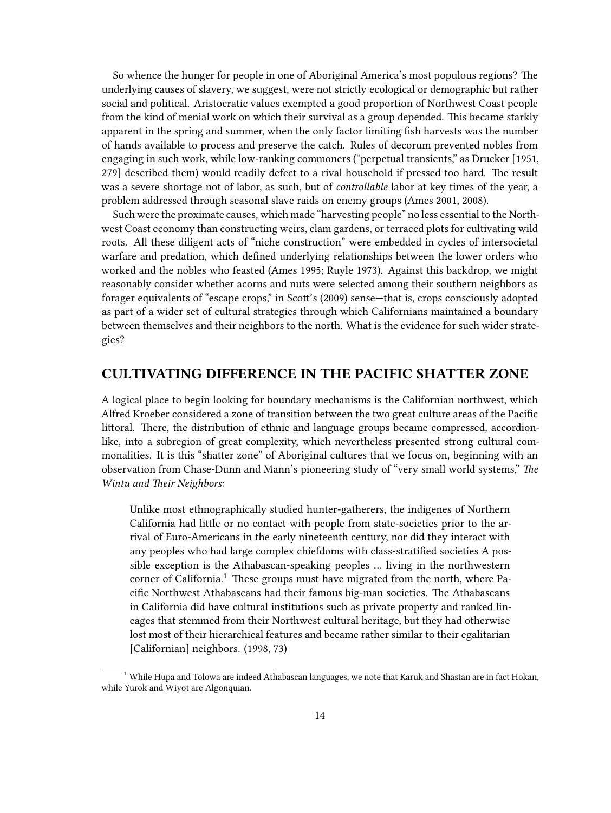So whence the hunger for people in one of Aboriginal America's most populous regions? The underlying causes of slavery, we suggest, were not strictly ecological or demographic but rather social and political. Aristocratic values exempted a good proportion of Northwest Coast people from the kind of menial work on which their survival as a group depended. This became starkly apparent in the spring and summer, when the only factor limiting fish harvests was the number of hands available to process and preserve the catch. Rules of decorum prevented nobles from engaging in such work, while low-ranking commoners ("perpetual transients," as Drucker [1951, 279] described them) would readily defect to a rival household if pressed too hard. The result was a severe shortage not of labor, as such, but of *controllable* labor at key times of the year, a problem addressed through seasonal slave raids on enemy groups (Ames 2001, 2008).

Such were the proximate causes, which made "harvesting people" no less essential to the Northwest Coast economy than constructing weirs, clam gardens, or terraced plots for cultivating wild roots. All these diligent acts of "niche construction" were embedded in cycles of intersocietal warfare and predation, which defined underlying relationships between the lower orders who worked and the nobles who feasted (Ames 1995; Ruyle 1973). Against this backdrop, we might reasonably consider whether acorns and nuts were selected among their southern neighbors as forager equivalents of "escape crops," in Scott's (2009) sense—that is, crops consciously adopted as part of a wider set of cultural strategies through which Californians maintained a boundary between themselves and their neighbors to the north. What is the evidence for such wider strategies?

## <span id="page-13-0"></span>**CULTIVATING DIFFERENCE IN THE PACIFIC SHATTER ZONE**

A logical place to begin looking for boundary mechanisms is the Californian northwest, which Alfred Kroeber considered a zone of transition between the two great culture areas of the Pacific littoral. There, the distribution of ethnic and language groups became compressed, accordionlike, into a subregion of great complexity, which nevertheless presented strong cultural commonalities. It is this "shatter zone" of Aboriginal cultures that we focus on, beginning with an observation from Chase-Dunn and Mann's pioneering study of "very small world systems," *The Wintu and Their Neighbors*:

Unlike most ethnographically studied hunter-gatherers, the indigenes of Northern California had little or no contact with people from state-societies prior to the arrival of Euro-Americans in the early nineteenth century, nor did they interact with any peoples who had large complex chiefdoms with class-stratified societies A possible exception is the Athabascan-speaking peoples … living in the northwestern corner of California.<sup>1</sup> These groups must have migrated from the north, where Pacific Northwest Athabascans had their famous big-man societies. The Athabascans in California did have cultural institutions such as private property and ranked lineages that stemmed from their Northwest cultural heritage, but they had otherwise lost most of their hierarchical features and became rather similar to their egalitarian [Californian] neighbors. (1998, 73)

 $^{\rm 1}$  While Hupa and Tolowa are indeed Athabascan languages, we note that Karuk and Shastan are in fact Hokan, while Yurok and Wiyot are Algonquian.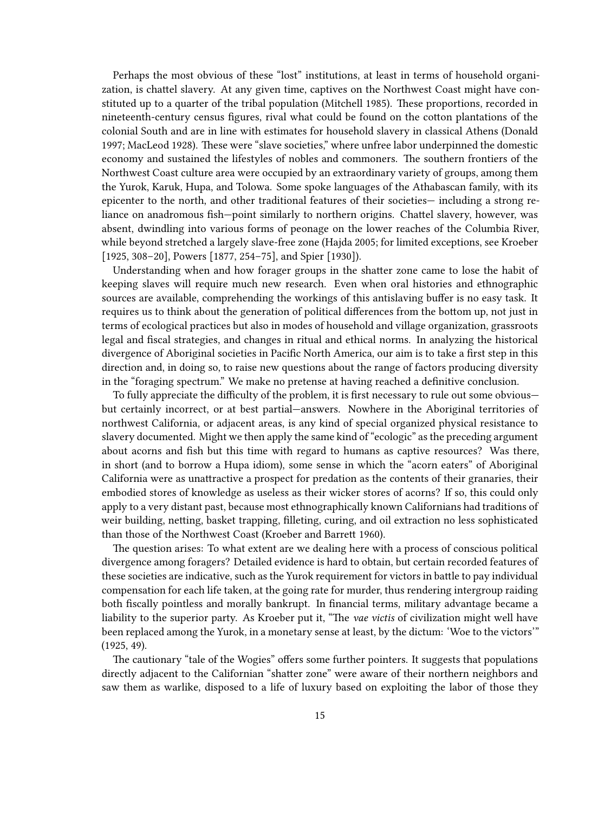Perhaps the most obvious of these "lost" institutions, at least in terms of household organization, is chattel slavery. At any given time, captives on the Northwest Coast might have constituted up to a quarter of the tribal population (Mitchell 1985). These proportions, recorded in nineteenth-century census figures, rival what could be found on the cotton plantations of the colonial South and are in line with estimates for household slavery in classical Athens (Donald 1997; MacLeod 1928). These were "slave societies," where unfree labor underpinned the domestic economy and sustained the lifestyles of nobles and commoners. The southern frontiers of the Northwest Coast culture area were occupied by an extraordinary variety of groups, among them the Yurok, Karuk, Hupa, and Tolowa. Some spoke languages of the Athabascan family, with its epicenter to the north, and other traditional features of their societies— including a strong reliance on anadromous fish—point similarly to northern origins. Chattel slavery, however, was absent, dwindling into various forms of peonage on the lower reaches of the Columbia River, while beyond stretched a largely slave-free zone (Hajda 2005; for limited exceptions, see Kroeber [1925, 308–20], Powers [1877, 254–75], and Spier [1930]).

Understanding when and how forager groups in the shatter zone came to lose the habit of keeping slaves will require much new research. Even when oral histories and ethnographic sources are available, comprehending the workings of this antislaving buffer is no easy task. It requires us to think about the generation of political differences from the bottom up, not just in terms of ecological practices but also in modes of household and village organization, grassroots legal and fiscal strategies, and changes in ritual and ethical norms. In analyzing the historical divergence of Aboriginal societies in Pacific North America, our aim is to take a first step in this direction and, in doing so, to raise new questions about the range of factors producing diversity in the "foraging spectrum." We make no pretense at having reached a definitive conclusion.

To fully appreciate the difficulty of the problem, it is first necessary to rule out some obvious but certainly incorrect, or at best partial—answers. Nowhere in the Aboriginal territories of northwest California, or adjacent areas, is any kind of special organized physical resistance to slavery documented. Might we then apply the same kind of "ecologic" as the preceding argument about acorns and fish but this time with regard to humans as captive resources? Was there, in short (and to borrow a Hupa idiom), some sense in which the "acorn eaters" of Aboriginal California were as unattractive a prospect for predation as the contents of their granaries, their embodied stores of knowledge as useless as their wicker stores of acorns? If so, this could only apply to a very distant past, because most ethnographically known Californians had traditions of weir building, netting, basket trapping, filleting, curing, and oil extraction no less sophisticated than those of the Northwest Coast (Kroeber and Barrett 1960).

The question arises: To what extent are we dealing here with a process of conscious political divergence among foragers? Detailed evidence is hard to obtain, but certain recorded features of these societies are indicative, such as the Yurok requirement for victors in battle to pay individual compensation for each life taken, at the going rate for murder, thus rendering intergroup raiding both fiscally pointless and morally bankrupt. In financial terms, military advantage became a liability to the superior party. As Kroeber put it, "The *vae victis* of civilization might well have been replaced among the Yurok, in a monetary sense at least, by the dictum: 'Woe to the victors'" (1925, 49).

The cautionary "tale of the Wogies" offers some further pointers. It suggests that populations directly adjacent to the Californian "shatter zone" were aware of their northern neighbors and saw them as warlike, disposed to a life of luxury based on exploiting the labor of those they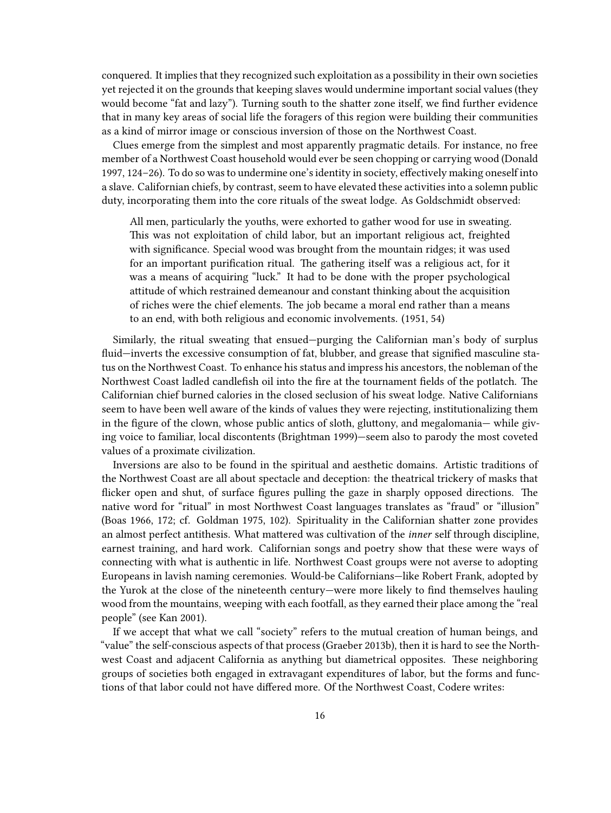conquered. It implies that they recognized such exploitation as a possibility in their own societies yet rejected it on the grounds that keeping slaves would undermine important social values (they would become "fat and lazy"). Turning south to the shatter zone itself, we find further evidence that in many key areas of social life the foragers of this region were building their communities as a kind of mirror image or conscious inversion of those on the Northwest Coast.

Clues emerge from the simplest and most apparently pragmatic details. For instance, no free member of a Northwest Coast household would ever be seen chopping or carrying wood (Donald 1997, 124–26). To do so was to undermine one's identity in society, effectively making oneself into a slave. Californian chiefs, by contrast, seem to have elevated these activities into a solemn public duty, incorporating them into the core rituals of the sweat lodge. As Goldschmidt observed:

All men, particularly the youths, were exhorted to gather wood for use in sweating. This was not exploitation of child labor, but an important religious act, freighted with significance. Special wood was brought from the mountain ridges; it was used for an important purification ritual. The gathering itself was a religious act, for it was a means of acquiring "luck." It had to be done with the proper psychological attitude of which restrained demeanour and constant thinking about the acquisition of riches were the chief elements. The job became a moral end rather than a means to an end, with both religious and economic involvements. (1951, 54)

Similarly, the ritual sweating that ensued—purging the Californian man's body of surplus fluid—inverts the excessive consumption of fat, blubber, and grease that signified masculine status on the Northwest Coast. To enhance his status and impress his ancestors, the nobleman of the Northwest Coast ladled candlefish oil into the fire at the tournament fields of the potlatch. The Californian chief burned calories in the closed seclusion of his sweat lodge. Native Californians seem to have been well aware of the kinds of values they were rejecting, institutionalizing them in the figure of the clown, whose public antics of sloth, gluttony, and megalomania— while giving voice to familiar, local discontents (Brightman 1999)—seem also to parody the most coveted values of a proximate civilization.

Inversions are also to be found in the spiritual and aesthetic domains. Artistic traditions of the Northwest Coast are all about spectacle and deception: the theatrical trickery of masks that flicker open and shut, of surface figures pulling the gaze in sharply opposed directions. The native word for "ritual" in most Northwest Coast languages translates as "fraud" or "illusion" (Boas 1966, 172; cf. Goldman 1975, 102). Spirituality in the Californian shatter zone provides an almost perfect antithesis. What mattered was cultivation of the *inner* self through discipline, earnest training, and hard work. Californian songs and poetry show that these were ways of connecting with what is authentic in life. Northwest Coast groups were not averse to adopting Europeans in lavish naming ceremonies. Would-be Californians—like Robert Frank, adopted by the Yurok at the close of the nineteenth century—were more likely to find themselves hauling wood from the mountains, weeping with each footfall, as they earned their place among the "real people" (see Kan 2001).

If we accept that what we call "society" refers to the mutual creation of human beings, and "value" the self-conscious aspects of that process (Graeber 2013b), then it is hard to see the Northwest Coast and adjacent California as anything but diametrical opposites. These neighboring groups of societies both engaged in extravagant expenditures of labor, but the forms and functions of that labor could not have differed more. Of the Northwest Coast, Codere writes: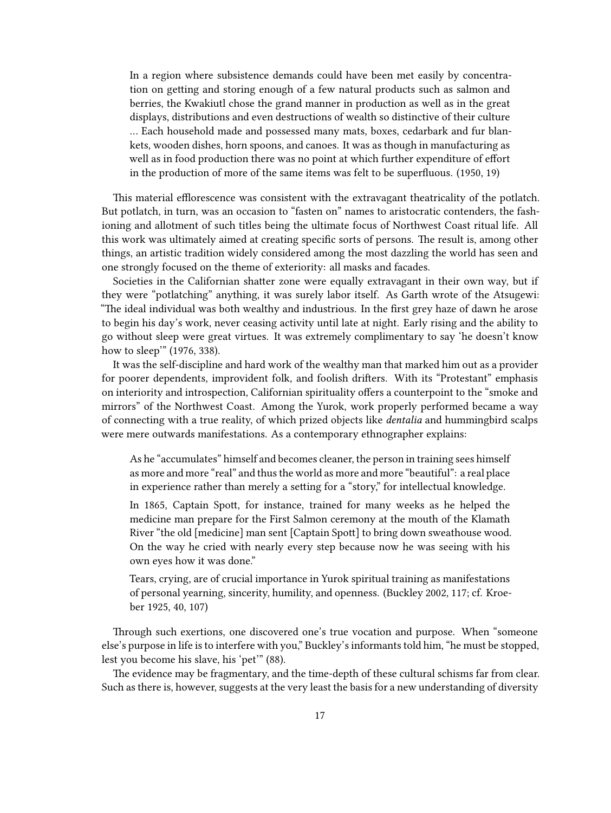In a region where subsistence demands could have been met easily by concentration on getting and storing enough of a few natural products such as salmon and berries, the Kwakiutl chose the grand manner in production as well as in the great displays, distributions and even destructions of wealth so distinctive of their culture … Each household made and possessed many mats, boxes, cedarbark and fur blankets, wooden dishes, horn spoons, and canoes. It was as though in manufacturing as well as in food production there was no point at which further expenditure of effort in the production of more of the same items was felt to be superfluous. (1950, 19)

This material efflorescence was consistent with the extravagant theatricality of the potlatch. But potlatch, in turn, was an occasion to "fasten on" names to aristocratic contenders, the fashioning and allotment of such titles being the ultimate focus of Northwest Coast ritual life. All this work was ultimately aimed at creating specific sorts of persons. The result is, among other things, an artistic tradition widely considered among the most dazzling the world has seen and one strongly focused on the theme of exteriority: all masks and facades.

Societies in the Californian shatter zone were equally extravagant in their own way, but if they were "potlatching" anything, it was surely labor itself. As Garth wrote of the Atsugewi: "The ideal individual was both wealthy and industrious. In the first grey haze of dawn he arose to begin his day's work, never ceasing activity until late at night. Early rising and the ability to go without sleep were great virtues. It was extremely complimentary to say 'he doesn't know how to sleep'" (1976, 338).

It was the self-discipline and hard work of the wealthy man that marked him out as a provider for poorer dependents, improvident folk, and foolish drifters. With its "Protestant" emphasis on interiority and introspection, Californian spirituality offers a counterpoint to the "smoke and mirrors" of the Northwest Coast. Among the Yurok, work properly performed became a way of connecting with a true reality, of which prized objects like *dentalia* and hummingbird scalps were mere outwards manifestations. As a contemporary ethnographer explains:

As he "accumulates" himself and becomes cleaner, the person in training sees himself as more and more "real" and thus the world as more and more "beautiful": a real place in experience rather than merely a setting for a "story," for intellectual knowledge.

In 1865, Captain Spott, for instance, trained for many weeks as he helped the medicine man prepare for the First Salmon ceremony at the mouth of the Klamath River "the old [medicine] man sent [Captain Spott] to bring down sweathouse wood. On the way he cried with nearly every step because now he was seeing with his own eyes how it was done."

Tears, crying, are of crucial importance in Yurok spiritual training as manifestations of personal yearning, sincerity, humility, and openness. (Buckley 2002, 117; cf. Kroeber 1925, 40, 107)

Through such exertions, one discovered one's true vocation and purpose. When "someone else's purpose in life is to interfere with you," Buckley's informants told him, "he must be stopped, lest you become his slave, his 'pet'" (88).

The evidence may be fragmentary, and the time-depth of these cultural schisms far from clear. Such as there is, however, suggests at the very least the basis for a new understanding of diversity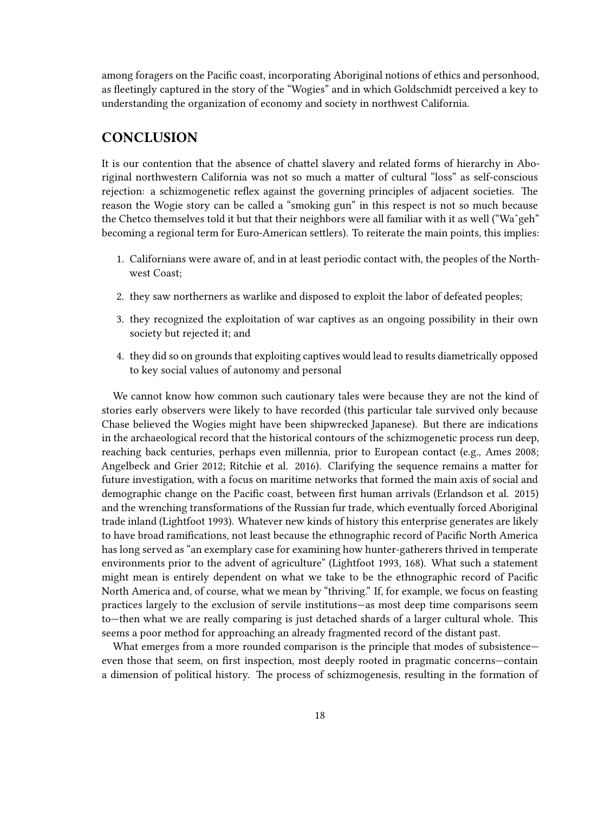among foragers on the Pacific coast, incorporating Aboriginal notions of ethics and personhood, as fleetingly captured in the story of the "Wogies" and in which Goldschmidt perceived a key to understanding the organization of economy and society in northwest California.

## <span id="page-17-0"></span>**CONCLUSION**

It is our contention that the absence of chattel slavery and related forms of hierarchy in Aboriginal northwestern California was not so much a matter of cultural "loss" as self-conscious rejection: a schizmogenetic reflex against the governing principles of adjacent societies. The reason the Wogie story can be called a "smoking gun" in this respect is not so much because the Chetco themselves told it but that their neighbors were all familiar with it as well ("Waˆgeh" becoming a regional term for Euro-American settlers). To reiterate the main points, this implies:

- 1. Californians were aware of, and in at least periodic contact with, the peoples of the Northwest Coast;
- 2. they saw northerners as warlike and disposed to exploit the labor of defeated peoples;
- 3. they recognized the exploitation of war captives as an ongoing possibility in their own society but rejected it; and
- 4. they did so on grounds that exploiting captives would lead to results diametrically opposed to key social values of autonomy and personal

We cannot know how common such cautionary tales were because they are not the kind of stories early observers were likely to have recorded (this particular tale survived only because Chase believed the Wogies might have been shipwrecked Japanese). But there are indications in the archaeological record that the historical contours of the schizmogenetic process run deep, reaching back centuries, perhaps even millennia, prior to European contact (e.g., Ames 2008; Angelbeck and Grier 2012; Ritchie et al. 2016). Clarifying the sequence remains a matter for future investigation, with a focus on maritime networks that formed the main axis of social and demographic change on the Pacific coast, between first human arrivals (Erlandson et al. 2015) and the wrenching transformations of the Russian fur trade, which eventually forced Aboriginal trade inland (Lightfoot 1993). Whatever new kinds of history this enterprise generates are likely to have broad ramifications, not least because the ethnographic record of Pacific North America has long served as "an exemplary case for examining how hunter-gatherers thrived in temperate environments prior to the advent of agriculture" (Lightfoot 1993, 168). What such a statement might mean is entirely dependent on what we take to be the ethnographic record of Pacific North America and, of course, what we mean by "thriving." If, for example, we focus on feasting practices largely to the exclusion of servile institutions—as most deep time comparisons seem to—then what we are really comparing is just detached shards of a larger cultural whole. This seems a poor method for approaching an already fragmented record of the distant past.

What emerges from a more rounded comparison is the principle that modes of subsistence even those that seem, on first inspection, most deeply rooted in pragmatic concerns—contain a dimension of political history. The process of schizmogenesis, resulting in the formation of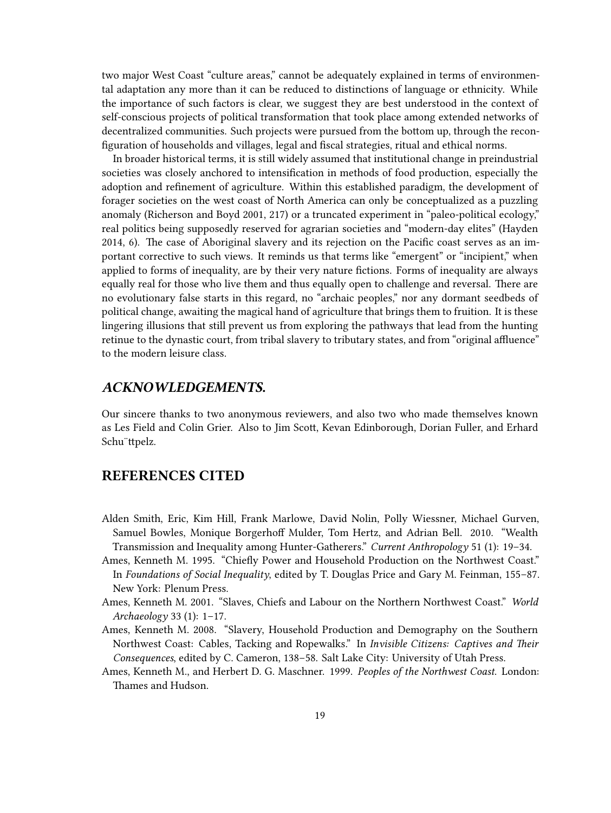two major West Coast "culture areas," cannot be adequately explained in terms of environmental adaptation any more than it can be reduced to distinctions of language or ethnicity. While the importance of such factors is clear, we suggest they are best understood in the context of self-conscious projects of political transformation that took place among extended networks of decentralized communities. Such projects were pursued from the bottom up, through the reconfiguration of households and villages, legal and fiscal strategies, ritual and ethical norms.

In broader historical terms, it is still widely assumed that institutional change in preindustrial societies was closely anchored to intensification in methods of food production, especially the adoption and refinement of agriculture. Within this established paradigm, the development of forager societies on the west coast of North America can only be conceptualized as a puzzling anomaly (Richerson and Boyd 2001, 217) or a truncated experiment in "paleo-political ecology," real politics being supposedly reserved for agrarian societies and "modern-day elites" (Hayden 2014, 6). The case of Aboriginal slavery and its rejection on the Pacific coast serves as an important corrective to such views. It reminds us that terms like "emergent" or "incipient," when applied to forms of inequality, are by their very nature fictions. Forms of inequality are always equally real for those who live them and thus equally open to challenge and reversal. There are no evolutionary false starts in this regard, no "archaic peoples," nor any dormant seedbeds of political change, awaiting the magical hand of agriculture that brings them to fruition. It is these lingering illusions that still prevent us from exploring the pathways that lead from the hunting retinue to the dynastic court, from tribal slavery to tributary states, and from "original affluence" to the modern leisure class.

#### <span id="page-18-0"></span>*ACKNOWLEDGEMENTS.*

Our sincere thanks to two anonymous reviewers, and also two who made themselves known as Les Field and Colin Grier. Also to Jim Scott, Kevan Edinborough, Dorian Fuller, and Erhard Schu¨ttpelz.

## <span id="page-18-1"></span>**REFERENCES CITED**

- Alden Smith, Eric, Kim Hill, Frank Marlowe, David Nolin, Polly Wiessner, Michael Gurven, Samuel Bowles, Monique Borgerhoff Mulder, Tom Hertz, and Adrian Bell. 2010. "Wealth Transmission and Inequality among Hunter-Gatherers." *Current Anthropology* 51 (1): 19–34.
- Ames, Kenneth M. 1995. "Chiefly Power and Household Production on the Northwest Coast." In *Foundations of Social Inequality*, edited by T. Douglas Price and Gary M. Feinman, 155–87. New York: Plenum Press.
- Ames, Kenneth M. 2001. "Slaves, Chiefs and Labour on the Northern Northwest Coast." *World Archaeology* 33 (1): 1–17.
- Ames, Kenneth M. 2008. "Slavery, Household Production and Demography on the Southern Northwest Coast: Cables, Tacking and Ropewalks." In *Invisible Citizens: Captives and Their Consequences*, edited by C. Cameron, 138–58. Salt Lake City: University of Utah Press.
- Ames, Kenneth M., and Herbert D. G. Maschner. 1999. *Peoples of the Northwest Coast*. London: Thames and Hudson.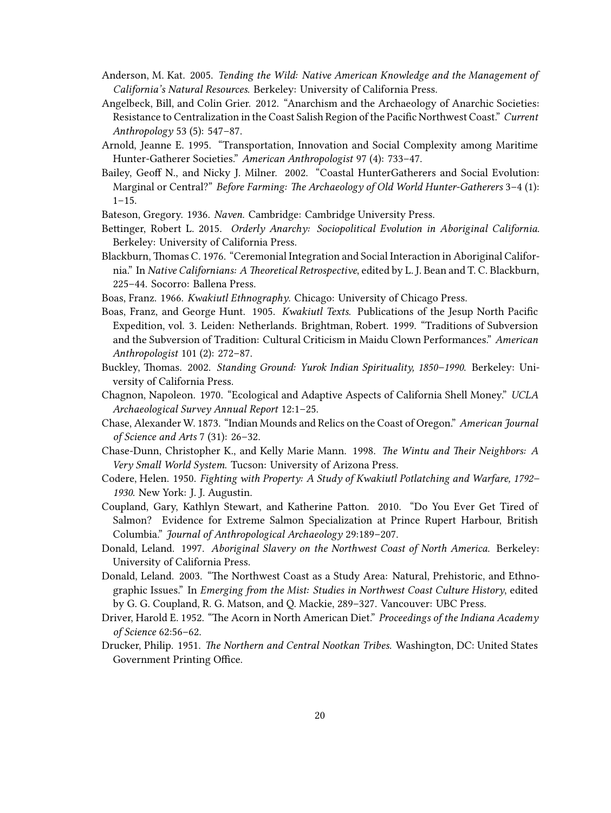- Anderson, M. Kat. 2005. *Tending the Wild: Native American Knowledge and the Management of California's Natural Resources*. Berkeley: University of California Press.
- Angelbeck, Bill, and Colin Grier. 2012. "Anarchism and the Archaeology of Anarchic Societies: Resistance to Centralization in the Coast Salish Region of the Pacific Northwest Coast." *Current Anthropology* 53 (5): 547–87.
- Arnold, Jeanne E. 1995. "Transportation, Innovation and Social Complexity among Maritime Hunter-Gatherer Societies." *American Anthropologist* 97 (4): 733–47.
- Bailey, Geoff N., and Nicky J. Milner. 2002. "Coastal HunterGatherers and Social Evolution: Marginal or Central?" *Before Farming: The Archaeology of Old World Hunter-Gatherers* 3–4 (1):  $1 - 15$ .
- Bateson, Gregory. 1936. *Naven*. Cambridge: Cambridge University Press.
- Bettinger, Robert L. 2015. *Orderly Anarchy: Sociopolitical Evolution in Aboriginal California*. Berkeley: University of California Press.
- Blackburn, Thomas C. 1976. "Ceremonial Integration and Social Interaction in Aboriginal California." In *Native Californians: A Theoretical Retrospective*, edited by L. J. Bean and T. C. Blackburn, 225–44. Socorro: Ballena Press.
- Boas, Franz. 1966. *Kwakiutl Ethnography*. Chicago: University of Chicago Press.
- Boas, Franz, and George Hunt. 1905. *Kwakiutl Texts*. Publications of the Jesup North Pacific Expedition, vol. 3. Leiden: Netherlands. Brightman, Robert. 1999. "Traditions of Subversion and the Subversion of Tradition: Cultural Criticism in Maidu Clown Performances." *American Anthropologist* 101 (2): 272–87.
- Buckley, Thomas. 2002. *Standing Ground: Yurok Indian Spirituality, 1850–1990*. Berkeley: University of California Press.
- Chagnon, Napoleon. 1970. "Ecological and Adaptive Aspects of California Shell Money." *UCLA Archaeological Survey Annual Report* 12:1–25.
- Chase, Alexander W. 1873. "Indian Mounds and Relics on the Coast of Oregon." *American Journal of Science and Arts* 7 (31): 26–32.
- Chase-Dunn, Christopher K., and Kelly Marie Mann. 1998. *The Wintu and Their Neighbors: A Very Small World System*. Tucson: University of Arizona Press.
- Codere, Helen. 1950. *Fighting with Property: A Study of Kwakiutl Potlatching and Warfare, 1792– 1930*. New York: J. J. Augustin.
- Coupland, Gary, Kathlyn Stewart, and Katherine Patton. 2010. "Do You Ever Get Tired of Salmon? Evidence for Extreme Salmon Specialization at Prince Rupert Harbour, British Columbia." *Journal of Anthropological Archaeology* 29:189–207.
- Donald, Leland. 1997. *Aboriginal Slavery on the Northwest Coast of North America*. Berkeley: University of California Press.
- Donald, Leland. 2003. "The Northwest Coast as a Study Area: Natural, Prehistoric, and Ethnographic Issues." In *Emerging from the Mist: Studies in Northwest Coast Culture History*, edited by G. G. Coupland, R. G. Matson, and Q. Mackie, 289–327. Vancouver: UBC Press.
- Driver, Harold E. 1952. "The Acorn in North American Diet." *Proceedings of the Indiana Academy of Science* 62:56–62.
- Drucker, Philip. 1951. *The Northern and Central Nootkan Tribes*. Washington, DC: United States Government Printing Office.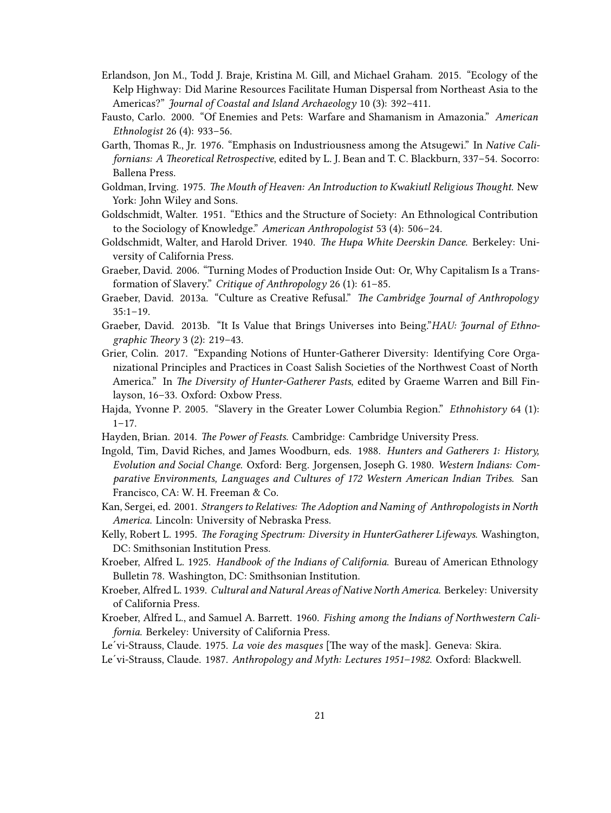- Erlandson, Jon M., Todd J. Braje, Kristina M. Gill, and Michael Graham. 2015. "Ecology of the Kelp Highway: Did Marine Resources Facilitate Human Dispersal from Northeast Asia to the Americas?" *Journal of Coastal and Island Archaeology* 10 (3): 392–411.
- Fausto, Carlo. 2000. "Of Enemies and Pets: Warfare and Shamanism in Amazonia." *American Ethnologist* 26 (4): 933–56.
- Garth, Thomas R., Jr. 1976. "Emphasis on Industriousness among the Atsugewi." In *Native Californians: A Theoretical Retrospective*, edited by L. J. Bean and T. C. Blackburn, 337–54. Socorro: Ballena Press.
- Goldman, Irving. 1975. *The Mouth of Heaven: An Introduction to Kwakiutl Religious Thought*. New York: John Wiley and Sons.
- Goldschmidt, Walter. 1951. "Ethics and the Structure of Society: An Ethnological Contribution to the Sociology of Knowledge." *American Anthropologist* 53 (4): 506–24.
- Goldschmidt, Walter, and Harold Driver. 1940. *The Hupa White Deerskin Dance*. Berkeley: University of California Press.
- Graeber, David. 2006. "Turning Modes of Production Inside Out: Or, Why Capitalism Is a Transformation of Slavery." *Critique of Anthropology* 26 (1): 61–85.
- Graeber, David. 2013a. "Culture as Creative Refusal." *The Cambridge Journal of Anthropology* 35:1–19.
- Graeber, David. 2013b. "It Is Value that Brings Universes into Being."*HAU: Journal of Ethnographic Theory* 3 (2): 219–43.
- Grier, Colin. 2017. "Expanding Notions of Hunter-Gatherer Diversity: Identifying Core Organizational Principles and Practices in Coast Salish Societies of the Northwest Coast of North America." In *The Diversity of Hunter-Gatherer Pasts*, edited by Graeme Warren and Bill Finlayson, 16–33. Oxford: Oxbow Press.
- Hajda, Yvonne P. 2005. "Slavery in the Greater Lower Columbia Region." *Ethnohistory* 64 (1):  $1 - 17$ .
- Hayden, Brian. 2014. *The Power of Feasts*. Cambridge: Cambridge University Press.
- Ingold, Tim, David Riches, and James Woodburn, eds. 1988. *Hunters and Gatherers 1: History, Evolution and Social Change*. Oxford: Berg. Jorgensen, Joseph G. 1980. *Western Indians: Comparative Environments, Languages and Cultures of 172 Western American Indian Tribes*. San Francisco, CA: W. H. Freeman & Co.
- Kan, Sergei, ed. 2001. *Strangers to Relatives: The Adoption and Naming of Anthropologists in North America*. Lincoln: University of Nebraska Press.
- Kelly, Robert L. 1995. *The Foraging Spectrum: Diversity in HunterGatherer Lifeways*. Washington, DC: Smithsonian Institution Press.
- Kroeber, Alfred L. 1925. *Handbook of the Indians of California*. Bureau of American Ethnology Bulletin 78. Washington, DC: Smithsonian Institution.
- Kroeber, Alfred L. 1939. *Cultural and Natural Areas of Native North America*. Berkeley: University of California Press.
- Kroeber, Alfred L., and Samuel A. Barrett. 1960. *Fishing among the Indians of Northwestern California*. Berkeley: University of California Press.
- Le´vi-Strauss, Claude. 1975. *La voie des masques* [The way of the mask]. Geneva: Skira.
- Le´vi-Strauss, Claude. 1987. *Anthropology and Myth: Lectures 1951–1982*. Oxford: Blackwell.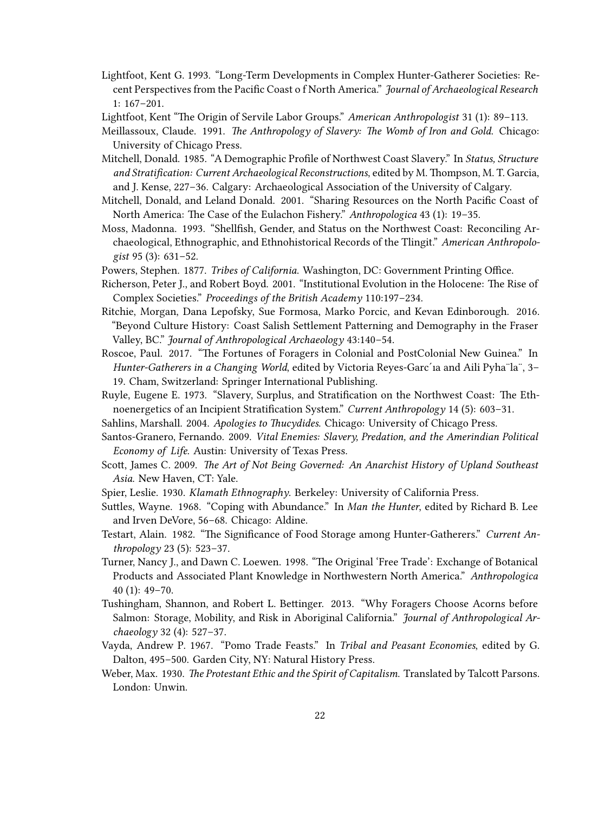Lightfoot, Kent G. 1993. "Long-Term Developments in Complex Hunter-Gatherer Societies: Recent Perspectives from the Pacific Coast o f North America." *Journal of Archaeological Research* 1: 167–201.

Lightfoot, Kent "The Origin of Servile Labor Groups." *American Anthropologist* 31 (1): 89–113.

- Meillassoux, Claude. 1991. *The Anthropology of Slavery: The Womb of Iron and Gold*. Chicago: University of Chicago Press.
- Mitchell, Donald. 1985. "A Demographic Profile of Northwest Coast Slavery." In *Status, Structure and Stratification: Current Archaeological Reconstructions*, edited by M. Thompson, M. T. Garcia, and J. Kense, 227–36. Calgary: Archaeological Association of the University of Calgary.
- Mitchell, Donald, and Leland Donald. 2001. "Sharing Resources on the North Pacific Coast of North America: The Case of the Eulachon Fishery." *Anthropologica* 43 (1): 19–35.
- Moss, Madonna. 1993. "Shellfish, Gender, and Status on the Northwest Coast: Reconciling Archaeological, Ethnographic, and Ethnohistorical Records of the Tlingit." *American Anthropologist* 95 (3): 631–52.
- Powers, Stephen. 1877. *Tribes of California*. Washington, DC: Government Printing Office.
- Richerson, Peter J., and Robert Boyd. 2001. "Institutional Evolution in the Holocene: The Rise of Complex Societies." *Proceedings of the British Academy* 110:197–234.
- Ritchie, Morgan, Dana Lepofsky, Sue Formosa, Marko Porcic, and Kevan Edinborough. 2016. "Beyond Culture History: Coast Salish Settlement Patterning and Demography in the Fraser Valley, BC." *Journal of Anthropological Archaeology* 43:140–54.
- Roscoe, Paul. 2017. "The Fortunes of Foragers in Colonial and PostColonial New Guinea." In *Hunter-Gatherers in a Changing World*, edited by Victoria Reyes-Garc´ıa and Aili Pyha¨la¨, 3– 19. Cham, Switzerland: Springer International Publishing.
- Ruyle, Eugene E. 1973. "Slavery, Surplus, and Stratification on the Northwest Coast: The Ethnoenergetics of an Incipient Stratification System." *Current Anthropology* 14 (5): 603–31.
- Sahlins, Marshall. 2004. *Apologies to Thucydides*. Chicago: University of Chicago Press.
- Santos-Granero, Fernando. 2009. *Vital Enemies: Slavery, Predation, and the Amerindian Political Economy of Life*. Austin: University of Texas Press.
- Scott, James C. 2009. *The Art of Not Being Governed: An Anarchist History of Upland Southeast Asia*. New Haven, CT: Yale.
- Spier, Leslie. 1930. *Klamath Ethnography*. Berkeley: University of California Press.
- Suttles, Wayne. 1968. "Coping with Abundance." In *Man the Hunter*, edited by Richard B. Lee and Irven DeVore, 56–68. Chicago: Aldine.
- Testart, Alain. 1982. "The Significance of Food Storage among Hunter-Gatherers." *Current Anthropology* 23 (5): 523–37.
- Turner, Nancy J., and Dawn C. Loewen. 1998. "The Original 'Free Trade': Exchange of Botanical Products and Associated Plant Knowledge in Northwestern North America." *Anthropologica* 40 (1): 49–70.
- Tushingham, Shannon, and Robert L. Bettinger. 2013. "Why Foragers Choose Acorns before Salmon: Storage, Mobility, and Risk in Aboriginal California." *Journal of Anthropological Archaeology* 32 (4): 527–37.
- Vayda, Andrew P. 1967. "Pomo Trade Feasts." In *Tribal and Peasant Economies*, edited by G. Dalton, 495–500. Garden City, NY: Natural History Press.
- Weber, Max. 1930. *The Protestant Ethic and the Spirit of Capitalism*. Translated by Talcott Parsons. London: Unwin.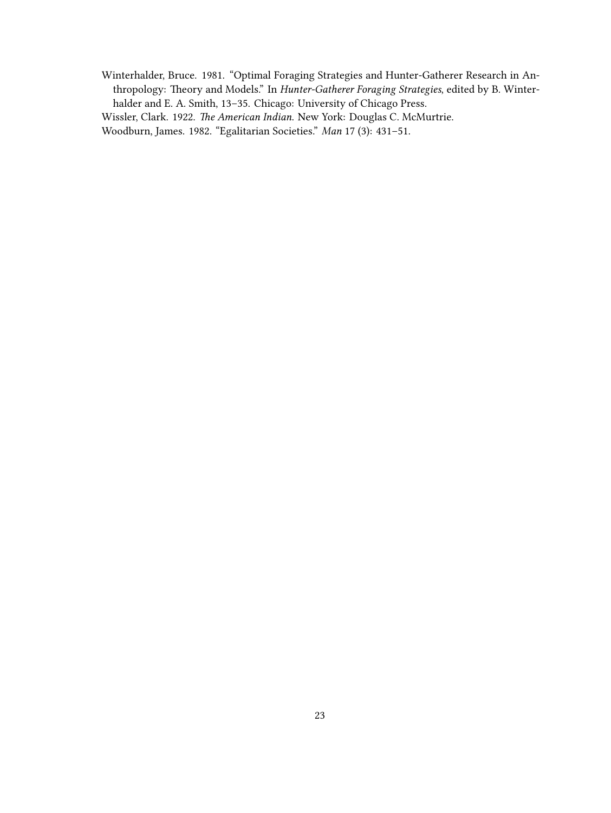- Winterhalder, Bruce. 1981. "Optimal Foraging Strategies and Hunter-Gatherer Research in Anthropology: Theory and Models." In *Hunter-Gatherer Foraging Strategies*, edited by B. Winterhalder and E. A. Smith, 13–35. Chicago: University of Chicago Press.
- Wissler, Clark. 1922. *The American Indian*. New York: Douglas C. McMurtrie.

Woodburn, James. 1982. "Egalitarian Societies." *Man* 17 (3): 431–51.